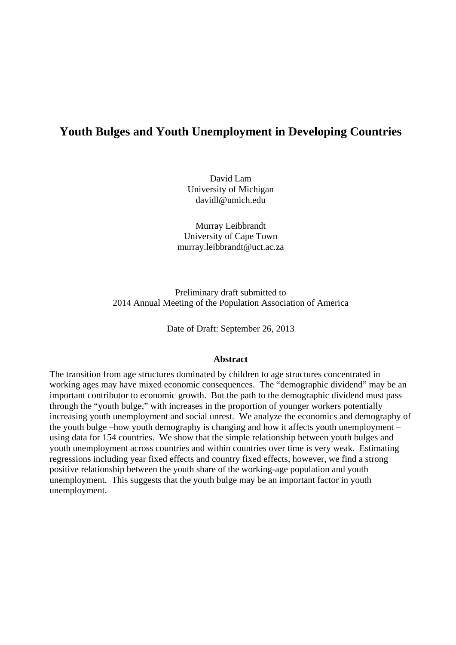# **Youth Bulges and Youth Unemployment in Developing Countries**

David Lam University of Michigan davidl@umich.edu

Murray Leibbrandt University of Cape Town murray.leibbrandt@uct.ac.za

Preliminary draft submitted to 2014 Annual Meeting of the Population Association of America

Date of Draft: September 26, 2013

#### **Abstract**

The transition from age structures dominated by children to age structures concentrated in working ages may have mixed economic consequences. The "demographic dividend" may be an important contributor to economic growth. But the path to the demographic dividend must pass through the "youth bulge," with increases in the proportion of younger workers potentially increasing youth unemployment and social unrest. We analyze the economics and demography of the youth bulge –how youth demography is changing and how it affects youth unemployment – using data for 154 countries. We show that the simple relationship between youth bulges and youth unemployment across countries and within countries over time is very weak. Estimating regressions including year fixed effects and country fixed effects, however, we find a strong positive relationship between the youth share of the working-age population and youth unemployment. This suggests that the youth bulge may be an important factor in youth unemployment.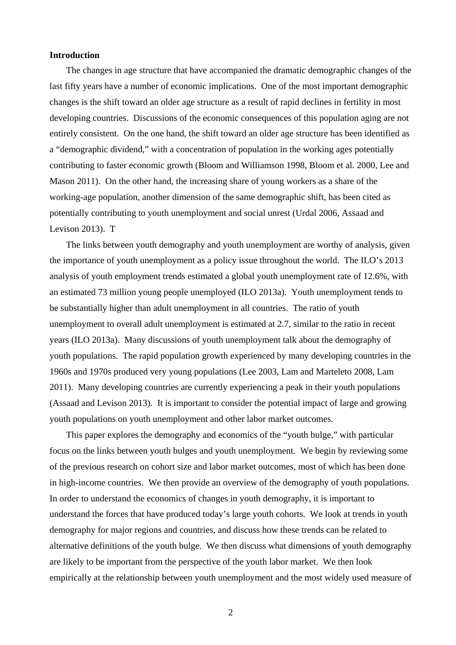## **Introduction**

The changes in age structure that have accompanied the dramatic demographic changes of the last fifty years have a number of economic implications. One of the most important demographic changes is the shift toward an older age structure as a result of rapid declines in fertility in most developing countries. Discussions of the economic consequences of this population aging are not entirely consistent. On the one hand, the shift toward an older age structure has been identified as a "demographic dividend," with a concentration of population in the working ages potentially contributing to faster economic growth (Bloom and Williamson 1998, Bloom et al. 2000, Lee and Mason 2011). On the other hand, the increasing share of young workers as a share of the working-age population, another dimension of the same demographic shift, has been cited as potentially contributing to youth unemployment and social unrest (Urdal 2006, Assaad and Levison 2013). T

The links between youth demography and youth unemployment are worthy of analysis, given the importance of youth unemployment as a policy issue throughout the world. The ILO's 2013 analysis of youth employment trends estimated a global youth unemployment rate of 12.6%, with an estimated 73 million young people unemployed (ILO 2013a). Youth unemployment tends to be substantially higher than adult unemployment in all countries. The ratio of youth unemployment to overall adult unemployment is estimated at 2.7, similar to the ratio in recent years (ILO 2013a). Many discussions of youth unemployment talk about the demography of youth populations. The rapid population growth experienced by many developing countries in the 1960s and 1970s produced very young populations (Lee 2003, Lam and Marteleto 2008, Lam 2011). Many developing countries are currently experiencing a peak in their youth populations (Assaad and Levison 2013). It is important to consider the potential impact of large and growing youth populations on youth unemployment and other labor market outcomes.

This paper explores the demography and economics of the "youth bulge," with particular focus on the links between youth bulges and youth unemployment. We begin by reviewing some of the previous research on cohort size and labor market outcomes, most of which has been done in high-income countries. We then provide an overview of the demography of youth populations. In order to understand the economics of changes in youth demography, it is important to understand the forces that have produced today's large youth cohorts. We look at trends in youth demography for major regions and countries, and discuss how these trends can be related to alternative definitions of the youth bulge. We then discuss what dimensions of youth demography are likely to be important from the perspective of the youth labor market. We then look empirically at the relationship between youth unemployment and the most widely used measure of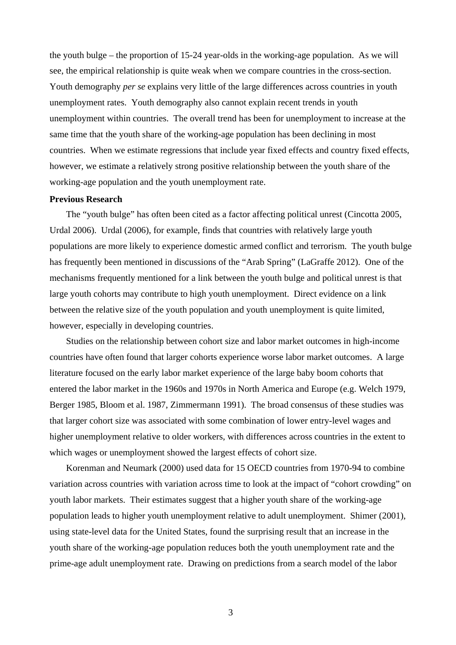the youth bulge – the proportion of 15-24 year-olds in the working-age population. As we will see, the empirical relationship is quite weak when we compare countries in the cross-section. Youth demography *per se* explains very little of the large differences across countries in youth unemployment rates. Youth demography also cannot explain recent trends in youth unemployment within countries. The overall trend has been for unemployment to increase at the same time that the youth share of the working-age population has been declining in most countries. When we estimate regressions that include year fixed effects and country fixed effects, however, we estimate a relatively strong positive relationship between the youth share of the working-age population and the youth unemployment rate.

## **Previous Research**

The "youth bulge" has often been cited as a factor affecting political unrest (Cincotta 2005, Urdal 2006). Urdal (2006), for example, finds that countries with relatively large youth populations are more likely to experience domestic armed conflict and terrorism. The youth bulge has frequently been mentioned in discussions of the "Arab Spring" (LaGraffe 2012). One of the mechanisms frequently mentioned for a link between the youth bulge and political unrest is that large youth cohorts may contribute to high youth unemployment. Direct evidence on a link between the relative size of the youth population and youth unemployment is quite limited, however, especially in developing countries.

Studies on the relationship between cohort size and labor market outcomes in high-income countries have often found that larger cohorts experience worse labor market outcomes. A large literature focused on the early labor market experience of the large baby boom cohorts that entered the labor market in the 1960s and 1970s in North America and Europe (e.g. Welch 1979, Berger 1985, Bloom et al. 1987, Zimmermann 1991). The broad consensus of these studies was that larger cohort size was associated with some combination of lower entry-level wages and higher unemployment relative to older workers, with differences across countries in the extent to which wages or unemployment showed the largest effects of cohort size.

Korenman and Neumark (2000) used data for 15 OECD countries from 1970-94 to combine variation across countries with variation across time to look at the impact of "cohort crowding" on youth labor markets. Their estimates suggest that a higher youth share of the working-age population leads to higher youth unemployment relative to adult unemployment. Shimer (2001), using state-level data for the United States, found the surprising result that an increase in the youth share of the working-age population reduces both the youth unemployment rate and the prime-age adult unemployment rate. Drawing on predictions from a search model of the labor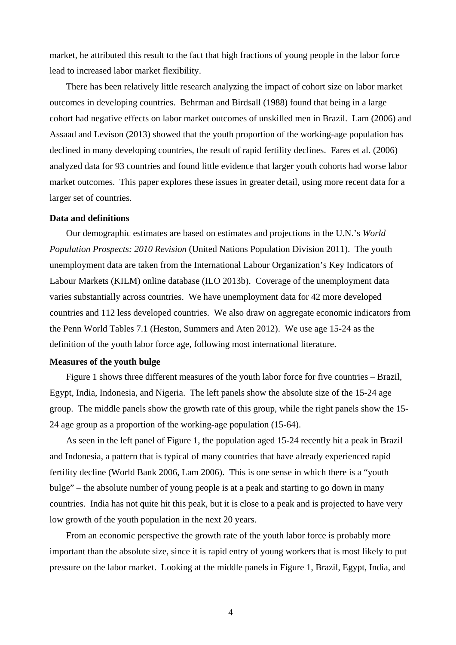market, he attributed this result to the fact that high fractions of young people in the labor force lead to increased labor market flexibility.

There has been relatively little research analyzing the impact of cohort size on labor market outcomes in developing countries. Behrman and Birdsall (1988) found that being in a large cohort had negative effects on labor market outcomes of unskilled men in Brazil. Lam (2006) and Assaad and Levison (2013) showed that the youth proportion of the working-age population has declined in many developing countries, the result of rapid fertility declines. Fares et al. (2006) analyzed data for 93 countries and found little evidence that larger youth cohorts had worse labor market outcomes. This paper explores these issues in greater detail, using more recent data for a larger set of countries.

# **Data and definitions**

Our demographic estimates are based on estimates and projections in the U.N.'s *World Population Prospects: 2010 Revision* (United Nations Population Division 2011). The youth unemployment data are taken from the International Labour Organization's Key Indicators of Labour Markets (KILM) online database (ILO 2013b). Coverage of the unemployment data varies substantially across countries. We have unemployment data for 42 more developed countries and 112 less developed countries. We also draw on aggregate economic indicators from the Penn World Tables 7.1 (Heston, Summers and Aten 2012). We use age 15-24 as the definition of the youth labor force age, following most international literature.

#### **Measures of the youth bulge**

Figure 1 shows three different measures of the youth labor force for five countries – Brazil, Egypt, India, Indonesia, and Nigeria. The left panels show the absolute size of the 15-24 age group. The middle panels show the growth rate of this group, while the right panels show the 15- 24 age group as a proportion of the working-age population (15-64).

As seen in the left panel of Figure 1, the population aged 15-24 recently hit a peak in Brazil and Indonesia, a pattern that is typical of many countries that have already experienced rapid fertility decline (World Bank 2006, Lam 2006). This is one sense in which there is a "youth bulge" – the absolute number of young people is at a peak and starting to go down in many countries. India has not quite hit this peak, but it is close to a peak and is projected to have very low growth of the youth population in the next 20 years.

From an economic perspective the growth rate of the youth labor force is probably more important than the absolute size, since it is rapid entry of young workers that is most likely to put pressure on the labor market. Looking at the middle panels in Figure 1, Brazil, Egypt, India, and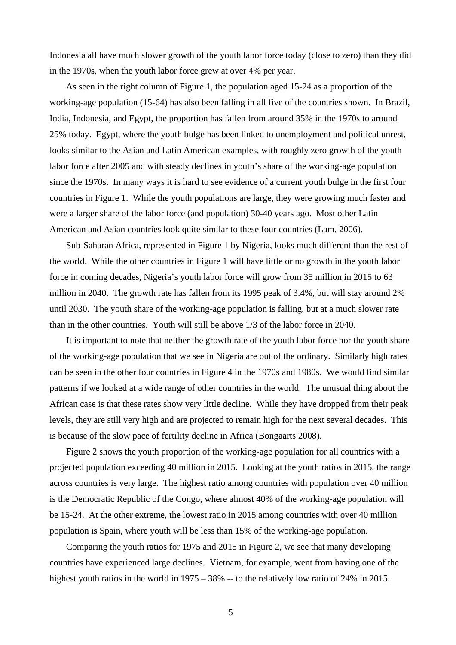Indonesia all have much slower growth of the youth labor force today (close to zero) than they did in the 1970s, when the youth labor force grew at over 4% per year.

As seen in the right column of Figure 1, the population aged 15-24 as a proportion of the working-age population (15-64) has also been falling in all five of the countries shown. In Brazil, India, Indonesia, and Egypt, the proportion has fallen from around 35% in the 1970s to around 25% today. Egypt, where the youth bulge has been linked to unemployment and political unrest, looks similar to the Asian and Latin American examples, with roughly zero growth of the youth labor force after 2005 and with steady declines in youth's share of the working-age population since the 1970s. In many ways it is hard to see evidence of a current youth bulge in the first four countries in Figure 1. While the youth populations are large, they were growing much faster and were a larger share of the labor force (and population) 30-40 years ago. Most other Latin American and Asian countries look quite similar to these four countries (Lam, 2006).

Sub-Saharan Africa, represented in Figure 1 by Nigeria, looks much different than the rest of the world. While the other countries in Figure 1 will have little or no growth in the youth labor force in coming decades, Nigeria's youth labor force will grow from 35 million in 2015 to 63 million in 2040. The growth rate has fallen from its 1995 peak of 3.4%, but will stay around 2% until 2030. The youth share of the working-age population is falling, but at a much slower rate than in the other countries. Youth will still be above 1/3 of the labor force in 2040.

It is important to note that neither the growth rate of the youth labor force nor the youth share of the working-age population that we see in Nigeria are out of the ordinary. Similarly high rates can be seen in the other four countries in Figure 4 in the 1970s and 1980s. We would find similar patterns if we looked at a wide range of other countries in the world. The unusual thing about the African case is that these rates show very little decline. While they have dropped from their peak levels, they are still very high and are projected to remain high for the next several decades. This is because of the slow pace of fertility decline in Africa (Bongaarts 2008).

Figure 2 shows the youth proportion of the working-age population for all countries with a projected population exceeding 40 million in 2015. Looking at the youth ratios in 2015, the range across countries is very large. The highest ratio among countries with population over 40 million is the Democratic Republic of the Congo, where almost 40% of the working-age population will be 15-24. At the other extreme, the lowest ratio in 2015 among countries with over 40 million population is Spain, where youth will be less than 15% of the working-age population.

Comparing the youth ratios for 1975 and 2015 in Figure 2, we see that many developing countries have experienced large declines. Vietnam, for example, went from having one of the highest youth ratios in the world in 1975 – 38% -- to the relatively low ratio of 24% in 2015.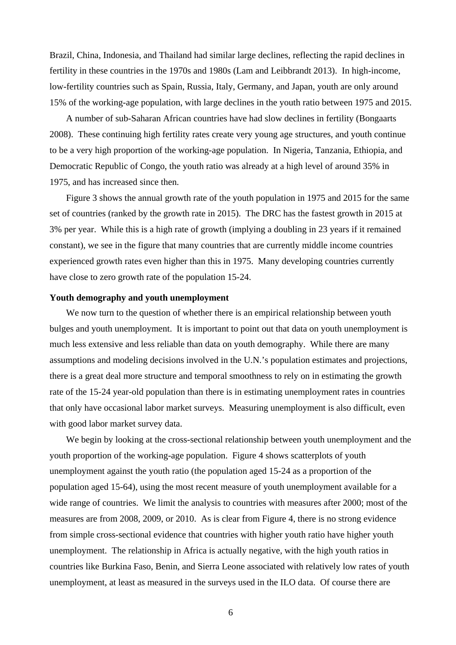Brazil, China, Indonesia, and Thailand had similar large declines, reflecting the rapid declines in fertility in these countries in the 1970s and 1980s (Lam and Leibbrandt 2013). In high-income, low-fertility countries such as Spain, Russia, Italy, Germany, and Japan, youth are only around 15% of the working-age population, with large declines in the youth ratio between 1975 and 2015.

A number of sub-Saharan African countries have had slow declines in fertility (Bongaarts 2008). These continuing high fertility rates create very young age structures, and youth continue to be a very high proportion of the working-age population. In Nigeria, Tanzania, Ethiopia, and Democratic Republic of Congo, the youth ratio was already at a high level of around 35% in 1975, and has increased since then.

Figure 3 shows the annual growth rate of the youth population in 1975 and 2015 for the same set of countries (ranked by the growth rate in 2015). The DRC has the fastest growth in 2015 at 3% per year. While this is a high rate of growth (implying a doubling in 23 years if it remained constant), we see in the figure that many countries that are currently middle income countries experienced growth rates even higher than this in 1975. Many developing countries currently have close to zero growth rate of the population 15-24.

## **Youth demography and youth unemployment**

We now turn to the question of whether there is an empirical relationship between youth bulges and youth unemployment. It is important to point out that data on youth unemployment is much less extensive and less reliable than data on youth demography. While there are many assumptions and modeling decisions involved in the U.N.'s population estimates and projections, there is a great deal more structure and temporal smoothness to rely on in estimating the growth rate of the 15-24 year-old population than there is in estimating unemployment rates in countries that only have occasional labor market surveys. Measuring unemployment is also difficult, even with good labor market survey data.

We begin by looking at the cross-sectional relationship between youth unemployment and the youth proportion of the working-age population. Figure 4 shows scatterplots of youth unemployment against the youth ratio (the population aged 15-24 as a proportion of the population aged 15-64), using the most recent measure of youth unemployment available for a wide range of countries. We limit the analysis to countries with measures after 2000; most of the measures are from 2008, 2009, or 2010. As is clear from Figure 4, there is no strong evidence from simple cross-sectional evidence that countries with higher youth ratio have higher youth unemployment. The relationship in Africa is actually negative, with the high youth ratios in countries like Burkina Faso, Benin, and Sierra Leone associated with relatively low rates of youth unemployment, at least as measured in the surveys used in the ILO data. Of course there are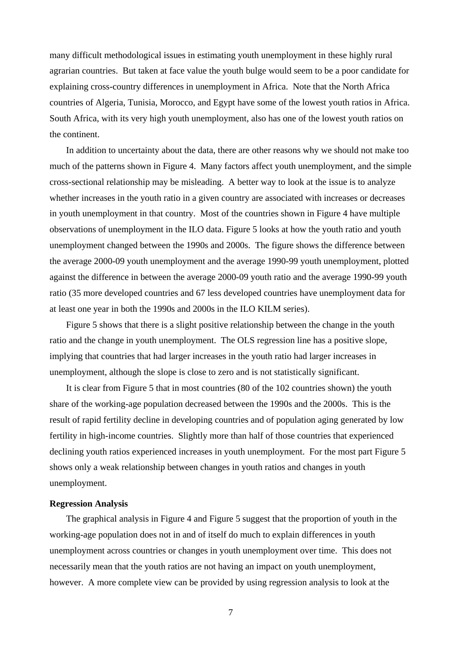many difficult methodological issues in estimating youth unemployment in these highly rural agrarian countries. But taken at face value the youth bulge would seem to be a poor candidate for explaining cross-country differences in unemployment in Africa. Note that the North Africa countries of Algeria, Tunisia, Morocco, and Egypt have some of the lowest youth ratios in Africa. South Africa, with its very high youth unemployment, also has one of the lowest youth ratios on the continent.

In addition to uncertainty about the data, there are other reasons why we should not make too much of the patterns shown in Figure 4. Many factors affect youth unemployment, and the simple cross-sectional relationship may be misleading. A better way to look at the issue is to analyze whether increases in the youth ratio in a given country are associated with increases or decreases in youth unemployment in that country. Most of the countries shown in Figure 4 have multiple observations of unemployment in the ILO data. Figure 5 looks at how the youth ratio and youth unemployment changed between the 1990s and 2000s. The figure shows the difference between the average 2000-09 youth unemployment and the average 1990-99 youth unemployment, plotted against the difference in between the average 2000-09 youth ratio and the average 1990-99 youth ratio (35 more developed countries and 67 less developed countries have unemployment data for at least one year in both the 1990s and 2000s in the ILO KILM series).

Figure 5 shows that there is a slight positive relationship between the change in the youth ratio and the change in youth unemployment. The OLS regression line has a positive slope, implying that countries that had larger increases in the youth ratio had larger increases in unemployment, although the slope is close to zero and is not statistically significant.

It is clear from Figure 5 that in most countries (80 of the 102 countries shown) the youth share of the working-age population decreased between the 1990s and the 2000s. This is the result of rapid fertility decline in developing countries and of population aging generated by low fertility in high-income countries. Slightly more than half of those countries that experienced declining youth ratios experienced increases in youth unemployment. For the most part Figure 5 shows only a weak relationship between changes in youth ratios and changes in youth unemployment.

#### **Regression Analysis**

The graphical analysis in Figure 4 and Figure 5 suggest that the proportion of youth in the working-age population does not in and of itself do much to explain differences in youth unemployment across countries or changes in youth unemployment over time. This does not necessarily mean that the youth ratios are not having an impact on youth unemployment, however. A more complete view can be provided by using regression analysis to look at the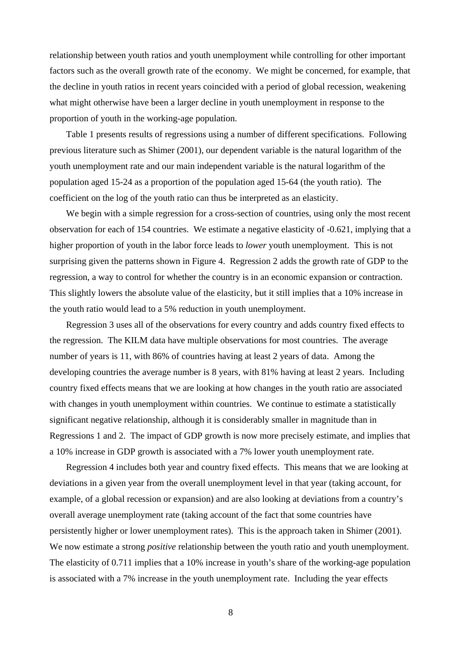relationship between youth ratios and youth unemployment while controlling for other important factors such as the overall growth rate of the economy. We might be concerned, for example, that the decline in youth ratios in recent years coincided with a period of global recession, weakening what might otherwise have been a larger decline in youth unemployment in response to the proportion of youth in the working-age population.

Table 1 presents results of regressions using a number of different specifications. Following previous literature such as Shimer (2001), our dependent variable is the natural logarithm of the youth unemployment rate and our main independent variable is the natural logarithm of the population aged 15-24 as a proportion of the population aged 15-64 (the youth ratio). The coefficient on the log of the youth ratio can thus be interpreted as an elasticity.

We begin with a simple regression for a cross-section of countries, using only the most recent observation for each of 154 countries. We estimate a negative elasticity of -0.621, implying that a higher proportion of youth in the labor force leads to *lower* youth unemployment. This is not surprising given the patterns shown in Figure 4. Regression 2 adds the growth rate of GDP to the regression, a way to control for whether the country is in an economic expansion or contraction. This slightly lowers the absolute value of the elasticity, but it still implies that a 10% increase in the youth ratio would lead to a 5% reduction in youth unemployment.

Regression 3 uses all of the observations for every country and adds country fixed effects to the regression. The KILM data have multiple observations for most countries. The average number of years is 11, with 86% of countries having at least 2 years of data. Among the developing countries the average number is 8 years, with 81% having at least 2 years. Including country fixed effects means that we are looking at how changes in the youth ratio are associated with changes in youth unemployment within countries. We continue to estimate a statistically significant negative relationship, although it is considerably smaller in magnitude than in Regressions 1 and 2. The impact of GDP growth is now more precisely estimate, and implies that a 10% increase in GDP growth is associated with a 7% lower youth unemployment rate.

Regression 4 includes both year and country fixed effects. This means that we are looking at deviations in a given year from the overall unemployment level in that year (taking account, for example, of a global recession or expansion) and are also looking at deviations from a country's overall average unemployment rate (taking account of the fact that some countries have persistently higher or lower unemployment rates). This is the approach taken in Shimer (2001). We now estimate a strong *positive* relationship between the youth ratio and youth unemployment. The elasticity of 0.711 implies that a 10% increase in youth's share of the working-age population is associated with a 7% increase in the youth unemployment rate. Including the year effects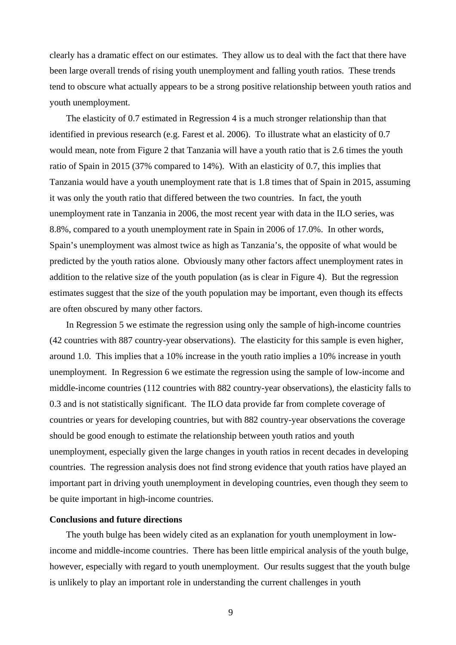clearly has a dramatic effect on our estimates. They allow us to deal with the fact that there have been large overall trends of rising youth unemployment and falling youth ratios. These trends tend to obscure what actually appears to be a strong positive relationship between youth ratios and youth unemployment.

The elasticity of 0.7 estimated in Regression 4 is a much stronger relationship than that identified in previous research (e.g. Farest et al. 2006). To illustrate what an elasticity of 0.7 would mean, note from Figure 2 that Tanzania will have a youth ratio that is 2.6 times the youth ratio of Spain in 2015 (37% compared to 14%). With an elasticity of 0.7, this implies that Tanzania would have a youth unemployment rate that is 1.8 times that of Spain in 2015, assuming it was only the youth ratio that differed between the two countries. In fact, the youth unemployment rate in Tanzania in 2006, the most recent year with data in the ILO series, was 8.8%, compared to a youth unemployment rate in Spain in 2006 of 17.0%. In other words, Spain's unemployment was almost twice as high as Tanzania's, the opposite of what would be predicted by the youth ratios alone. Obviously many other factors affect unemployment rates in addition to the relative size of the youth population (as is clear in Figure 4). But the regression estimates suggest that the size of the youth population may be important, even though its effects are often obscured by many other factors.

In Regression 5 we estimate the regression using only the sample of high-income countries (42 countries with 887 country-year observations). The elasticity for this sample is even higher, around 1.0. This implies that a 10% increase in the youth ratio implies a 10% increase in youth unemployment. In Regression 6 we estimate the regression using the sample of low-income and middle-income countries (112 countries with 882 country-year observations), the elasticity falls to 0.3 and is not statistically significant. The ILO data provide far from complete coverage of countries or years for developing countries, but with 882 country-year observations the coverage should be good enough to estimate the relationship between youth ratios and youth unemployment, especially given the large changes in youth ratios in recent decades in developing countries. The regression analysis does not find strong evidence that youth ratios have played an important part in driving youth unemployment in developing countries, even though they seem to be quite important in high-income countries.

## **Conclusions and future directions**

The youth bulge has been widely cited as an explanation for youth unemployment in lowincome and middle-income countries. There has been little empirical analysis of the youth bulge, however, especially with regard to youth unemployment. Our results suggest that the youth bulge is unlikely to play an important role in understanding the current challenges in youth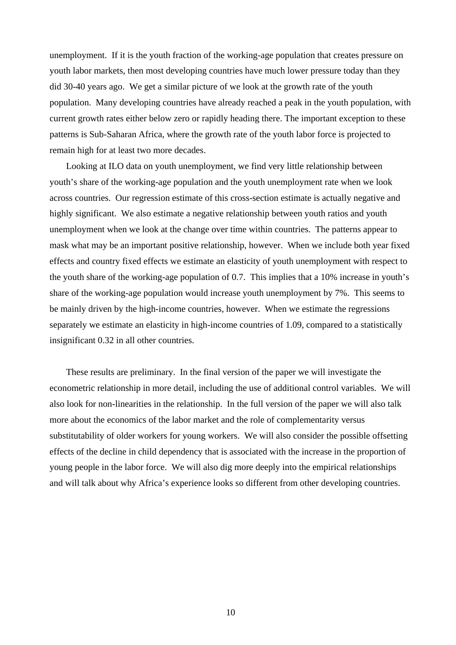unemployment. If it is the youth fraction of the working-age population that creates pressure on youth labor markets, then most developing countries have much lower pressure today than they did 30-40 years ago. We get a similar picture of we look at the growth rate of the youth population. Many developing countries have already reached a peak in the youth population, with current growth rates either below zero or rapidly heading there. The important exception to these patterns is Sub-Saharan Africa, where the growth rate of the youth labor force is projected to remain high for at least two more decades.

Looking at ILO data on youth unemployment, we find very little relationship between youth's share of the working-age population and the youth unemployment rate when we look across countries. Our regression estimate of this cross-section estimate is actually negative and highly significant. We also estimate a negative relationship between youth ratios and youth unemployment when we look at the change over time within countries. The patterns appear to mask what may be an important positive relationship, however. When we include both year fixed effects and country fixed effects we estimate an elasticity of youth unemployment with respect to the youth share of the working-age population of 0.7. This implies that a 10% increase in youth's share of the working-age population would increase youth unemployment by 7%. This seems to be mainly driven by the high-income countries, however. When we estimate the regressions separately we estimate an elasticity in high-income countries of 1.09, compared to a statistically insignificant 0.32 in all other countries.

These results are preliminary. In the final version of the paper we will investigate the econometric relationship in more detail, including the use of additional control variables. We will also look for non-linearities in the relationship. In the full version of the paper we will also talk more about the economics of the labor market and the role of complementarity versus substitutability of older workers for young workers. We will also consider the possible offsetting effects of the decline in child dependency that is associated with the increase in the proportion of young people in the labor force. We will also dig more deeply into the empirical relationships and will talk about why Africa's experience looks so different from other developing countries.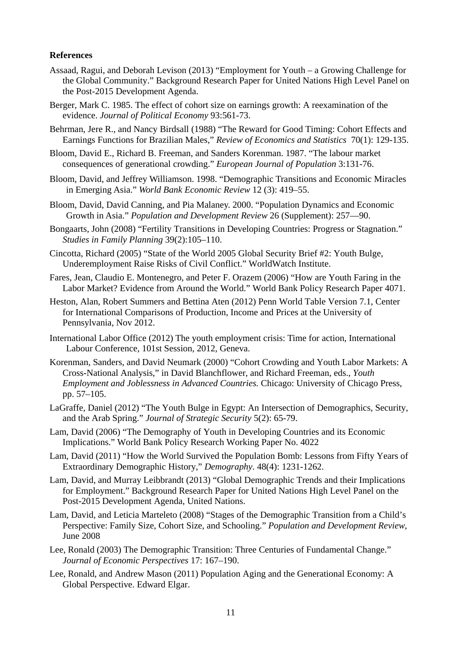### **References**

- Assaad, Ragui, and Deborah Levison (2013) "Employment for Youth a Growing Challenge for the Global Community." Background Research Paper for United Nations High Level Panel on the Post-2015 Development Agenda.
- Berger, Mark C. 1985. The effect of cohort size on earnings growth: A reexamination of the evidence. *Journal of Political Economy* 93:561-73.
- Behrman, Jere R., and Nancy Birdsall (1988) "The Reward for Good Timing: Cohort Effects and Earnings Functions for Brazilian Males," *Review of Economics and Statistics* 70(1): 129-135.
- Bloom, David E., Richard B. Freeman, and Sanders Korenman. 1987. "The labour market consequences of generational crowding." *European Journal of Population* 3:131-76.
- Bloom, David, and Jeffrey Williamson. 1998. "Demographic Transitions and Economic Miracles in Emerging Asia." *World Bank Economic Review* 12 (3): 419–55.
- Bloom, David, David Canning, and Pia Malaney. 2000. "Population Dynamics and Economic Growth in Asia." *Population and Development Review* 26 (Supplement): 257—90.
- Bongaarts, John (2008) "Fertility Transitions in Developing Countries: Progress or Stagnation." *Studies in Family Planning* 39(2):105–110.
- Cincotta, Richard (2005) "State of the World 2005 Global Security Brief #2: Youth Bulge, Underemployment Raise Risks of Civil Conflict." WorldWatch Institute.
- Fares, Jean, Claudio E. Montenegro, and Peter F. Orazem (2006) "How are Youth Faring in the Labor Market? Evidence from Around the World." World Bank Policy Research Paper 4071.
- Heston, Alan, Robert Summers and Bettina Aten (2012) Penn World Table Version 7.1, Center for International Comparisons of Production, Income and Prices at the University of Pennsylvania, Nov 2012.
- International Labor Office (2012) The youth employment crisis: Time for action, International Labour Conference, 101st Session, 2012, Geneva.
- Korenman, Sanders, and David Neumark (2000) "Cohort Crowding and Youth Labor Markets: A Cross-National Analysis," in David Blanchflower, and Richard Freeman, eds., *Youth Employment and Joblessness in Advanced Countries.* Chicago: University of Chicago Press, pp. 57–105.
- LaGraffe, Daniel (2012) "The Youth Bulge in Egypt: An Intersection of Demographics, Security, and the Arab Spring." *Journal of Strategic Security* 5(2): 65-79.
- Lam, David (2006) "The Demography of Youth in Developing Countries and its Economic Implications." World Bank Policy Research Working Paper No. 4022
- Lam, David (2011) "How the World Survived the Population Bomb: Lessons from Fifty Years of Extraordinary Demographic History," *Demography*. 48(4): 1231-1262.
- Lam, David, and Murray Leibbrandt (2013) "Global Demographic Trends and their Implications for Employment." Background Research Paper for United Nations High Level Panel on the Post-2015 Development Agenda, United Nations.
- Lam, David, and Leticia Marteleto (2008) "Stages of the Demographic Transition from a Child's Perspective: Family Size, Cohort Size, and Schooling." *Population and Development Review*, June 2008
- Lee, Ronald (2003) The Demographic Transition: Three Centuries of Fundamental Change." *Journal of Economic Perspectives* 17: 167–190.
- Lee, Ronald, and Andrew Mason (2011) Population Aging and the Generational Economy: A Global Perspective. Edward Elgar.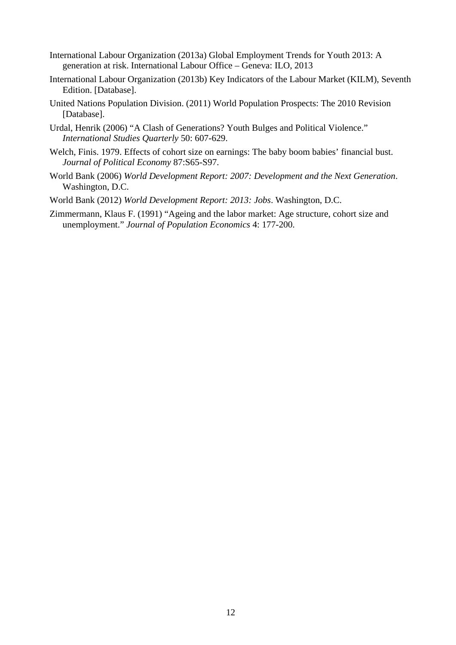- International Labour Organization (2013a) Global Employment Trends for Youth 2013: A generation at risk. International Labour Office – Geneva: ILO, 2013
- International Labour Organization (2013b) Key Indicators of the Labour Market (KILM), Seventh Edition. [Database].
- United Nations Population Division. (2011) World Population Prospects: The 2010 Revision [Database].
- Urdal, Henrik (2006) "A Clash of Generations? Youth Bulges and Political Violence." *International Studies Quarterly* 50: 607-629.
- Welch, Finis. 1979. Effects of cohort size on earnings: The baby boom babies' financial bust. *Journal of Political Economy* 87:S65-S97.
- World Bank (2006) *World Development Report: 2007: Development and the Next Generation*. Washington, D.C.
- World Bank (2012) *World Development Report: 2013: Jobs*. Washington, D.C.
- Zimmermann, Klaus F. (1991) "Ageing and the labor market: Age structure, cohort size and unemployment." *Journal of Population Economics* 4: 177-200.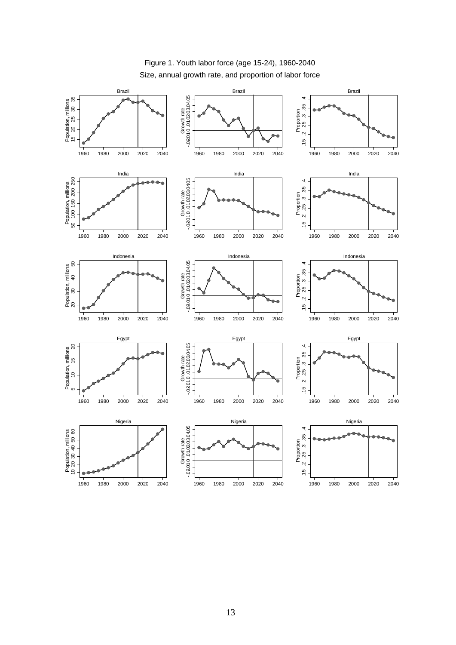

# Size, annual growth rate, and proportion of labor force Figure 1. Youth labor force (age 15-24), 1960-2040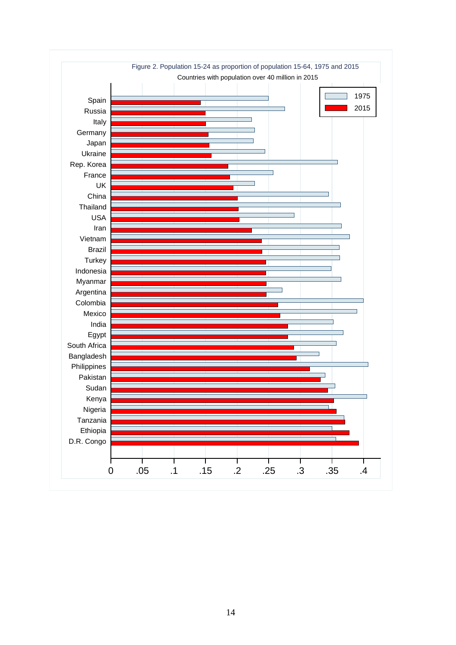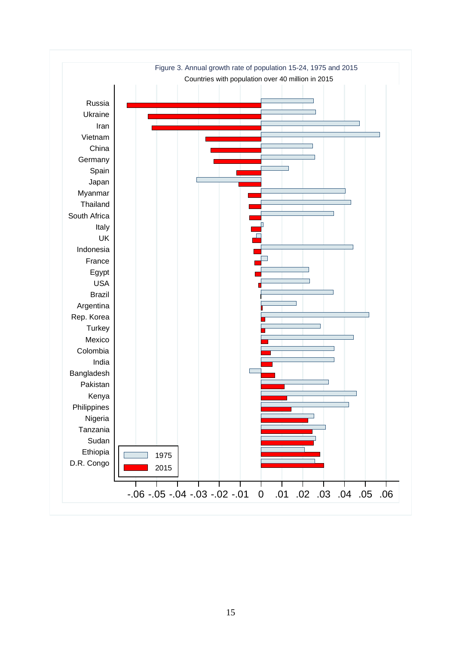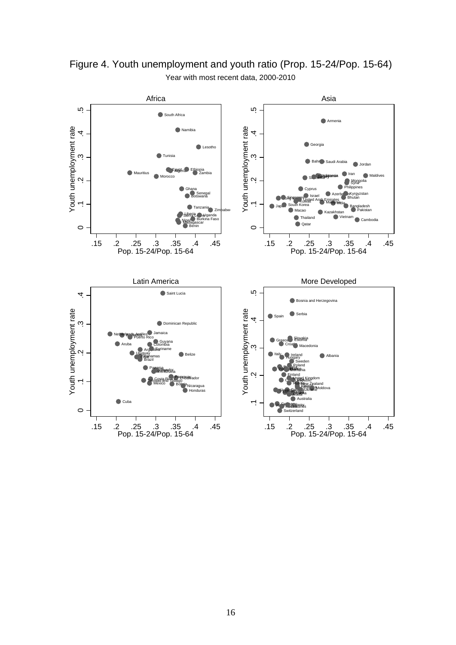

Year with most recent data, 2000-2010 Figure 4. Youth unemployment and youth ratio (Prop. 15-24/Pop. 15-64)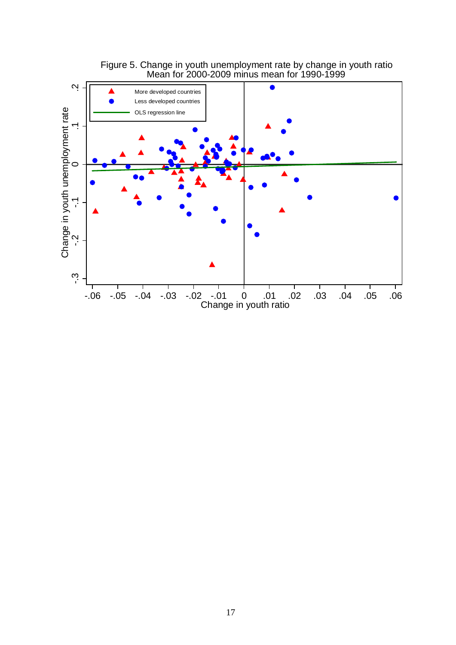

Figure 5. Change in youth unemployment rate by change in youth ratio